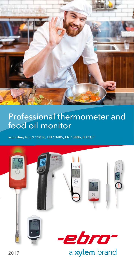

# Professional thermometer and food oil monitor

according to EN 12830, EN 13485, EN 13486, HACCP



2017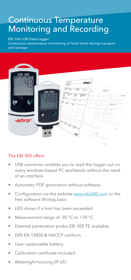### Continuous Temperature Monitoring and Recording

#### EBI 300 USB Data Logger

Continuous temperature monitoring of food items during transport and storage.



#### The EBI 300 offers:

- USB connector enables you to read the logger out on every windows based PC worldwide without the need of an interface
- Automatic PDF generation without software
- Configuration via the website www.ebi300.com or the free software Winlog.basic
- LED shows if a limit has been exceeded
- Measurement range of -30 °C to +70 °C
- External penetration probe EBI 300 TE available
- DIN EN 12830 & HACCP conform
- User replaceable battery
- Calibration certificate included
- Watertight housing (IP 65)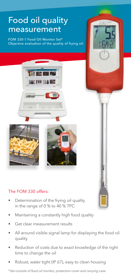# Food oil quality measurement

FOM 330-1 Food Oil Monitor Set\* Objective evaluation of the quality of frying oil.





### The FOM 330 offers:

- Determination of the frying oil quality in the range of 0 % to 40 % TPC
- Maintaining a constantly high food quality
- Get clear measurement results
- All around visible signal lamp for displaying the food oil quality
- Reduction of costs due to exact knowledge of the right time to change the oil
- Robust, water tight (IP 67), easy to clean housing

*\* Set consists of food oil monitor, protection cover and carrying case.*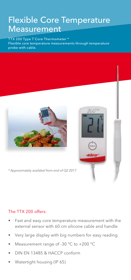## Flexible Core Temperature Measurement

TTX 200 Type T Core Thermometer \* Flexible core temperature measurements through temperature probe with cable.





*\* Approximately availabel from end of Q2 2017*

#### The TTX 200 offers:

- Fast and easy core temperature measurement with the external sensor with 60 cm silicone cable and handle
- Very large display with big numbers for easy reading
- Measurement range of -30 °C to +200 °C
- DIN EN 13485 & HACCP conform
- Watertight housing (IP 65)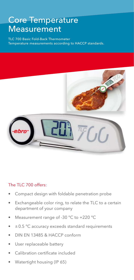### Core Temperature Measurement

TLC 700 Basic Fold-Back Thermometer Temperature measurements according to HACCP standards.



#### The TLC 700 offers:

- Compact design with foldable penetration probe
- Exchangeable color ring, to relate the TLC to a certain department of your company
- Measurement range of -30 °C to +220 °C
- $\pm$  0.5 °C accuracy exceeds standard requirements
- DIN EN 13485 & HACCP conform
- User replaceable battery
- Calibration certificate included
- Watertight housing (IP 65)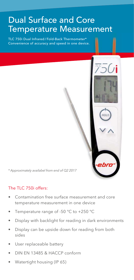# Dual Surface and Core Temperature Measurement

TLC 750i Dual Infrared / Fold-Back Thermometer\* Convenience of accuracy and speed in one device.



*\* Approximately availabel from end of Q2 2017*

#### The TLC 750i offers:

- Contamination free surface measurement and core temperature measurement in one device
- Temperature range of -50 °C to +250 °C
- Display with backlight for reading in dark environments
- Display can be upside down for reading from both sides
- User replaceable battery
- DIN EN 13485 & HACCP conform
- Watertight housing (IP 65)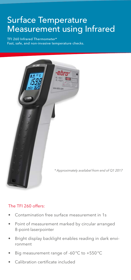## Surface Temperature Measurement using Infrared

TFI 260 Infrared Thermometer\* Fast, safe, and non-invasive temperature checks.



#### The TFI 260 offers:

- Contamination free surface measurement in 1s
- Point of measurement marked by circular arranged 8-point-laserpointer
- Bright display backlight enables reading in dark environment
- Big measurement range of -60 °C to +550 °C
- Calibration certificate included